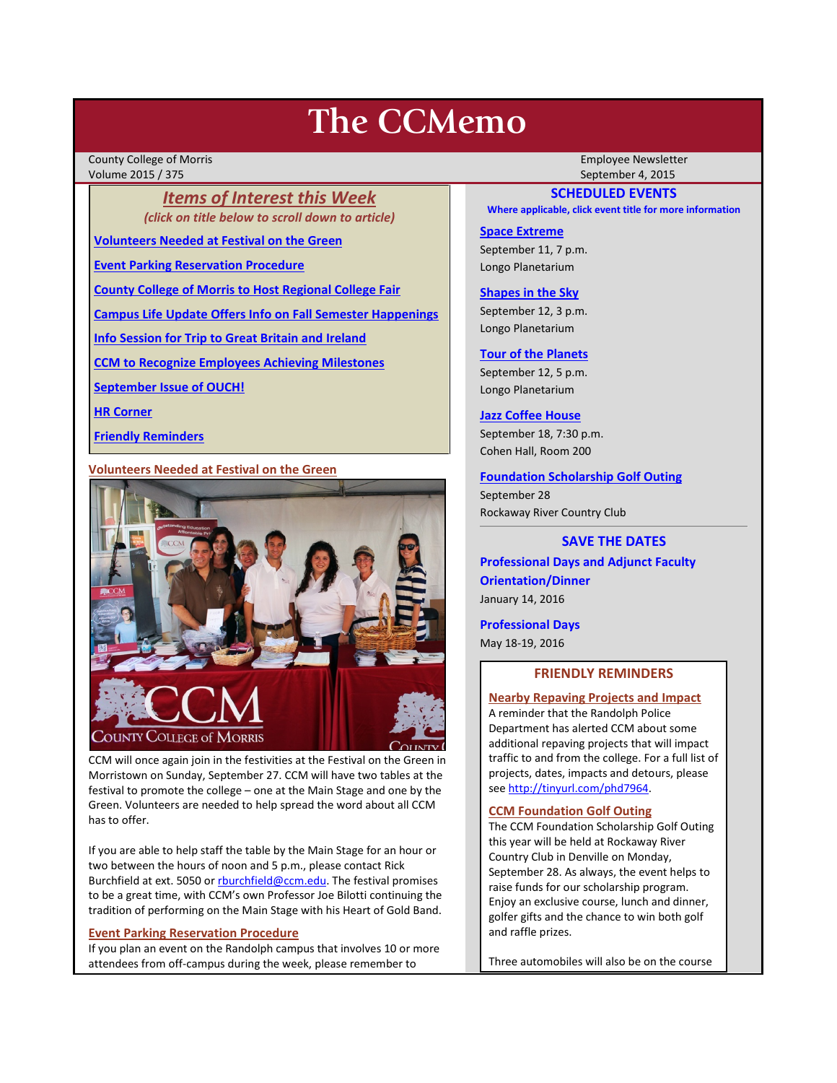# **The CCMemo**

County College of Morris Employee Newsletter Volume 2015 / 375 September 4, 2015

*Items of Interest this Week (click on title below to scroll down to article)*

**[Volunteers Needed at Festival on the Green](#page-0-0)**

**[Event Parking Reservation Procedure](#page-0-1)**

**[County College of Morris to Host Regional College Fair](#page-1-0)**

**[Campus Life Update Offers Info on Fall Semester Happenings](#page-1-1)**

**[Info Session for Trip to Great Britain and Ireland](#page-1-2)**

**[CCM to Recognize Employees Achieving Milestones](#page-1-3)**

**[September Issue of OUCH!](#page-2-0)**

**[HR Corner](#page-1-4)**

**[Friendly Reminders](#page-0-2)**

<span id="page-0-0"></span>**Volunteers Needed at Festival on the Green**



CCM will once again join in the festivities at the Festival on the Green in Morristown on Sunday, September 27. CCM will have two tables at the festival to promote the college – one at the Main Stage and one by the Green. Volunteers are needed to help spread the word about all CCM has to offer.

If you are able to help staff the table by the Main Stage for an hour or two between the hours of noon and 5 p.m., please contact Rick Burchfield at ext. 5050 o[r rburchfield@ccm.edu.](mailto:rburchfield@ccm.edu) The festival promises to be a great time, with CCM's own Professor Joe Bilotti continuing the tradition of performing on the Main Stage with his Heart of Gold Band.

## <span id="page-0-1"></span>**Event Parking Reservation Procedure**

If you plan an event on the Randolph campus that involves 10 or more attendees from off-campus during the week, please remember to

# **SCHEDULED EVENTS**

**Where applicable, click event title for more information**

# **[Space Extreme](http://www.ccm.edu/newsEvents/eventDetails.aspx?Channel=/Channels/Sitewide&WorkflowItemID=1874a4b0-0bcb-4ed1-a29e-7b4f8d25e45d)** September 11, 7 p.m.

Longo Planetarium

## **[Shapes in the Sky](http://www.ccm.edu/newsEvents/eventDetails.aspx?Channel=/Channels/Sitewide&WorkflowItemID=1922c928-86d3-4e75-b6a2-fd618033989c)**

September 12, 3 p.m. Longo Planetarium

## **[Tour of the Planets](http://www.ccm.edu/newsEvents/eventDetails.aspx?Channel=/Channels/Sitewide&WorkflowItemID=5834aa20-68ba-4fa2-a3ac-75b2311ba441)**

September 12, 5 p.m. Longo Planetarium

# **[Jazz Coffee House](http://www.ccm.edu/newsEvents/eventDetails.aspx?Channel=/Channels/Sitewide&WorkflowItemID=9afb1e8b-8b13-489e-a342-ccf5373b74fd)**

September 18, 7:30 p.m. Cohen Hall, Room 200

# **[Foundation Scholarship Golf Outing](http://www.ccm.edu/pdf/GolfInvite15Email_internal.pdf)**

September 28 Rockaway River Country Club

# **SAVE THE DATES**

**Professional Days and Adjunct Faculty Orientation/Dinner** January 14, 2016

**Professional Days** May 18-19, 2016

# **FRIENDLY REMINDERS**

## <span id="page-0-2"></span>**Nearby Repaving Projects and Impact**

A reminder that the Randolph Police Department has alerted CCM about some additional repaving projects that will impact traffic to and from the college. For a full list of projects, dates, impacts and detours, please se[e http://tinyurl.com/phd7964.](http://tinyurl.com/phd7964)

## **CCM Foundation Golf Outing**

The CCM Foundation Scholarship Golf Outing this year will be held at Rockaway River Country Club in Denville on Monday, September 28. As always, the event helps to raise funds for our scholarship program. Enjoy an exclusive course, lunch and dinner, golfer gifts and the chance to win both golf and raffle prizes.

Three automobiles will also be on the course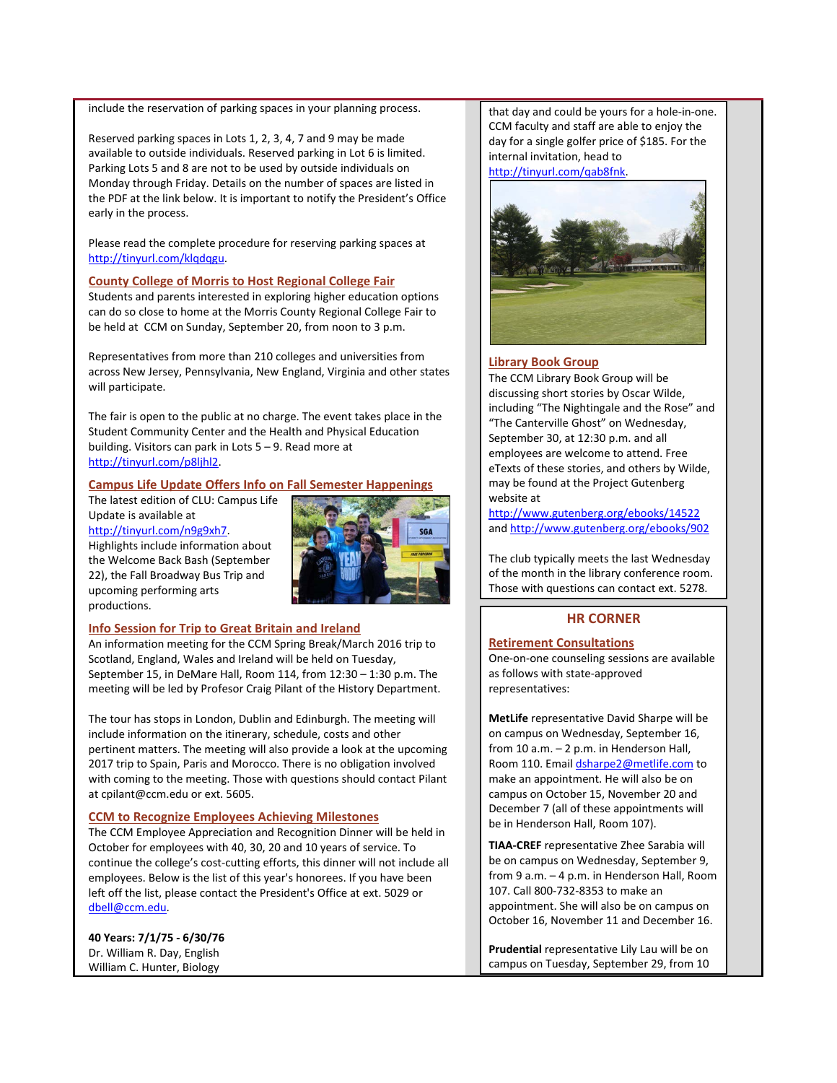include the reservation of parking spaces in your planning process.

Reserved parking spaces in Lots 1, 2, 3, 4, 7 and 9 may be made available to outside individuals. Reserved parking in Lot 6 is limited. Parking Lots 5 and 8 are not to be used by outside individuals on Monday through Friday. Details on the number of spaces are listed in the PDF at the link below. It is important to notify the President's Office early in the process.

Please read the complete procedure for reserving parking spaces at [http://tinyurl.com/klqdqgu.](http://tinyurl.com/klqdqgu)

#### <span id="page-1-0"></span>**County College of Morris to Host Regional College Fair**

Students and parents interested in exploring higher education options can do so close to home at the Morris County Regional College Fair to be held at CCM on Sunday, September 20, from noon to 3 p.m.

Representatives from more than 210 colleges and universities from across New Jersey, Pennsylvania, New England, Virginia and other states will participate.

The fair is open to the public at no charge. The event takes place in the Student Community Center and the Health and Physical Education building. Visitors can park in Lots 5 – 9. Read more at [http://tinyurl.com/p8ljhl2.](http://tinyurl.com/p8ljhl2)

#### <span id="page-1-1"></span>**Campus Life Update Offers Info on Fall Semester Happenings**

The latest edition of CLU: Campus Life Update is available at [http://tinyurl.com/n9g9xh7.](http://tinyurl.com/n9g9xh7)

Highlights include information about the Welcome Back Bash (September 22), the Fall Broadway Bus Trip and upcoming performing arts productions.



#### <span id="page-1-2"></span>**Info Session for Trip to Great Britain and Ireland**

An information meeting for the CCM Spring Break/March 2016 trip to Scotland, England, Wales and Ireland will be held on Tuesday, September 15, in DeMare Hall, Room 114, from 12:30 – 1:30 p.m. The meeting will be led by Profesor Craig Pilant of the History Department.

The tour has stops in London, Dublin and Edinburgh. The meeting will include information on the itinerary, schedule, costs and other pertinent matters. The meeting will also provide a look at the upcoming 2017 trip to Spain, Paris and Morocco. There is no obligation involved with coming to the meeting. Those with questions should contact Pilant at cpilant@ccm.edu or ext. 5605.

#### <span id="page-1-3"></span>**CCM to Recognize Employees Achieving Milestones**

The CCM Employee Appreciation and Recognition Dinner will be held in October for employees with 40, 30, 20 and 10 years of service. To continue the college's cost-cutting efforts, this dinner will not include all employees. Below is the list of this year's honorees. If you have been left off the list, please contact the President's Office at ext. 5029 or [dbell@ccm.edu.](mailto:dbell@ccm.edu)

**40 Years: 7/1/75 - 6/30/76** Dr. William R. Day, English William C. Hunter, Biology

that day and could be yours for a hole-in-one. CCM faculty and staff are able to enjoy the day for a single golfer price of \$185. For the internal invitation, head to [http://tinyurl.com/qab8fnk.](http://tinyurl.com/qab8fnk)



#### **Library Book Group**

The CCM Library Book Group will be discussing short stories by Oscar Wilde, including "The Nightingale and the Rose" and "The Canterville Ghost" on Wednesday, September 30, at 12:30 p.m. and all employees are welcome to attend. Free eTexts of these stories, and others by Wilde, may be found at the Project Gutenberg website at

<http://www.gutenberg.org/ebooks/14522> an[d http://www.gutenberg.org/ebooks/902](http://www.gutenberg.org/ebooks/902)

The club typically meets the last Wednesday of the month in the library conference room. Those with questions can contact ext. 5278.

# **HR CORNER**

# <span id="page-1-4"></span>**Retirement Consultations**

One-on-one counseling sessions are available as follows with state-approved representatives:

**MetLife** representative David Sharpe will be on campus on Wednesday, September 16, from 10 a.m. – 2 p.m. in Henderson Hall, Room 110. Emai[l dsharpe2@metlife.com](mailto:dsharpe2@metlife.com) to make an appointment. He will also be on campus on October 15, November 20 and December 7 (all of these appointments will be in Henderson Hall, Room 107).

**TIAA-CREF** representative Zhee Sarabia will be on campus on Wednesday, September 9, from 9 a.m. – 4 p.m. in Henderson Hall, Room 107. Call 800-732-8353 to make an appointment. She will also be on campus on October 16, November 11 and December 16.

**Prudential** representative Lily Lau will be on campus on Tuesday, September 29, from 10